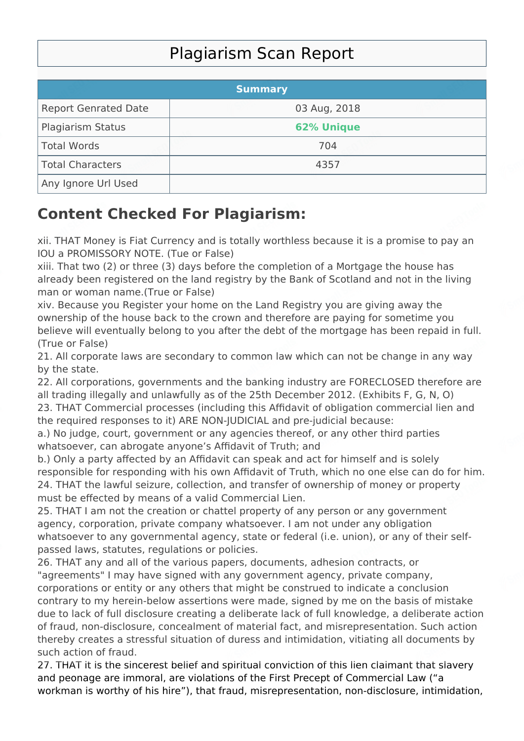## Plagiarism Scan Report

|                             | <b>Summary</b>    |  |
|-----------------------------|-------------------|--|
| <b>Report Genrated Date</b> | 03 Aug, 2018      |  |
| <b>Plagiarism Status</b>    | <b>62% Unique</b> |  |
| Total Words                 | 704               |  |
| Total Characters            | 4357              |  |
| Any Ignore Url Used         |                   |  |

## **Content Checked For Plagiarism:**

xii. THAT Money is Fiat Currency and is totally worthless because it is a promise to pay an IOU a PROMISSORY NOTE. (Tue or False)

xiii. That two (2) or three (3) days before the completion of a Mortgage the house has already been registered on the land registry by the Bank of Scotland and not in the living man or woman name.(True or False)

xiv. Because you Register your home on the Land Registry you are giving away the ownership of the house back to the crown and therefore are paying for sometime you believe will eventually belong to you after the debt of the mortgage has been repaid in full. (True or False)

21. All corporate laws are secondary to common law which can not be change in any way by the state.

22. All corporations, governments and the banking industry are FORECLOSED therefore are all trading illegally and unlawfully as of the 25th December 2012. (Exhibits F, G, N, O)

23. THAT Commercial processes (including this Affidavit of obligation commercial lien and the required responses to it) ARE NON-JUDICIAL and pre-judicial because:

a.) No judge, court, government or any agencies thereof, or any other third parties whatsoever, can abrogate anyone's Affidavit of Truth; and

b.) Only a party affected by an Affidavit can speak and act for himself and is solely responsible for responding with his own Affidavit of Truth, which no one else can do for him. 24. THAT the lawful seizure, collection, and transfer of ownership of money or property must be effected by means of a valid Commercial Lien.

25. THAT I am not the creation or chattel property of any person or any government agency, corporation, private company whatsoever. I am not under any obligation whatsoever to any governmental agency, state or federal (i.e. union), or any of their selfpassed laws, statutes, regulations or policies.

26. THAT any and all of the various papers, documents, adhesion contracts, or "agreements" I may have signed with any government agency, private company, corporations or entity or any others that might be construed to indicate a conclusion contrary to my herein-below assertions were made, signed by me on the basis of mistake due to lack of full disclosure creating a deliberate lack of full knowledge, a deliberate action of fraud, non-disclosure, concealment of material fact, and misrepresentation. Such action thereby creates a stressful situation of duress and intimidation, vitiating all documents by such action of fraud.

27. THAT it is the sincerest belief and spiritual conviction of this lien claimant that slavery and peonage are immoral, are violations of the First Precept of Commercial Law ("a workman is worthy of his hire"), that fraud, misrepresentation, non-disclosure, intimidation,